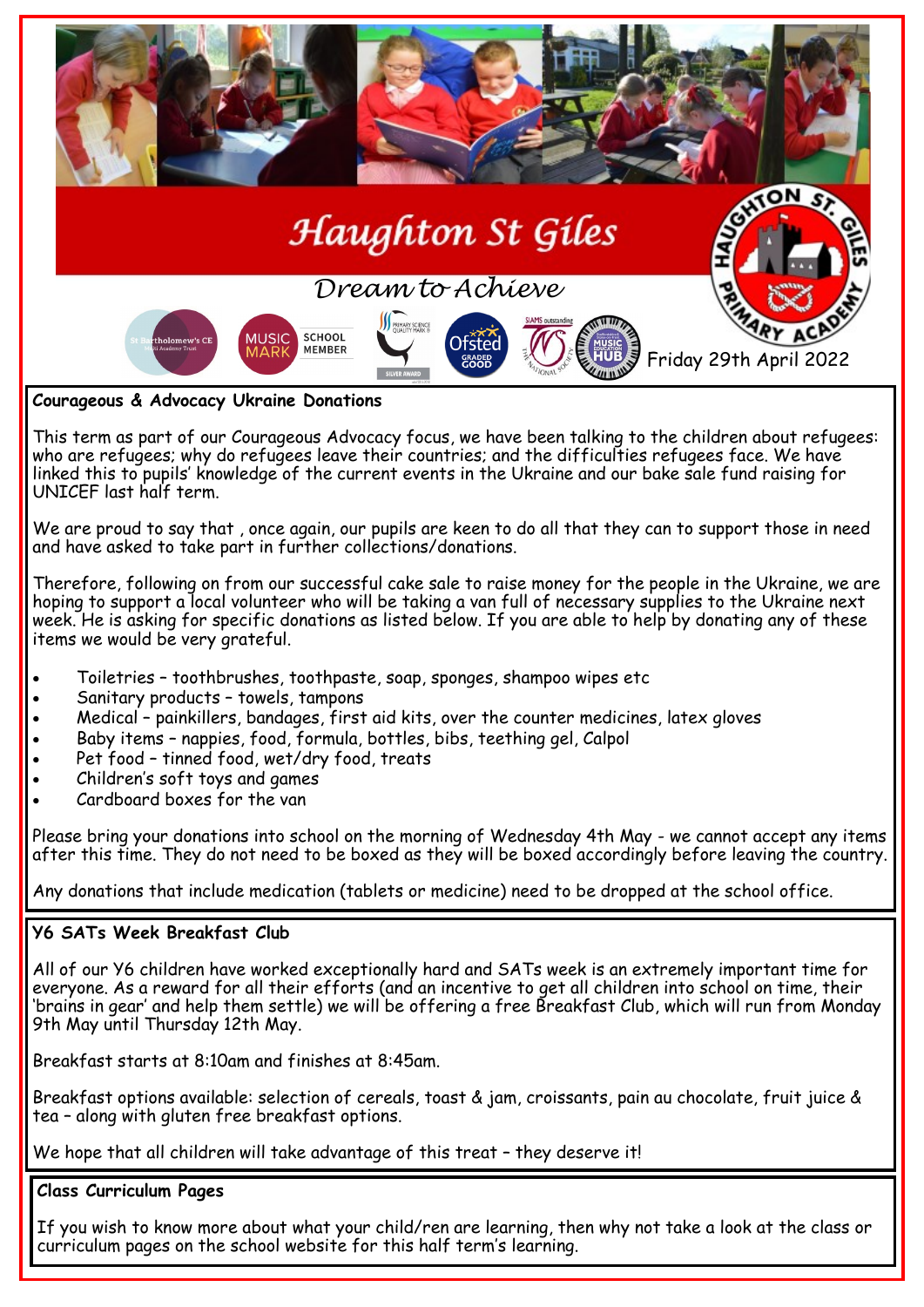

**Courageous & Advocacy Ukraine Donations**

This term as part of our Courageous Advocacy focus, we have been talking to the children about refugees: who are refugees; why do refugees leave their countries; and the difficulties refugees face. We have linked this to pupils' knowledge of the current events in the Ukraine and our bake sale fund raising for UNICEF last half term.

We are proud to say that , once again, our pupils are keen to do all that they can to support those in need and have asked to take part in further collections/donations.

Therefore, following on from our successful cake sale to raise money for the people in the Ukraine, we are hoping to support a local volunteer who will be taking a van full of necessary supplies to the Ukraine next week. He is asking for specific donations as listed below. If you are able to help by donating any of these items we would be very grateful.

- Toiletries toothbrushes, toothpaste, soap, sponges, shampoo wipes etc
- Sanitary products towels, tampons
- Medical painkillers, bandages, first aid kits, over the counter medicines, latex gloves
- Baby items nappies, food, formula, bottles, bibs, teething gel, Calpol
- Pet food tinned food, wet/dry food, treats
- Children's soft toys and games
- Cardboard boxes for the van

Please bring your donations into school on the morning of Wednesday 4th May - we cannot accept any items after this time. They do not need to be boxed as they will be boxed accordingly before leaving the country.

Any donations that include medication (tablets or medicine) need to be dropped at the school office.

# **Y6 SATs Week Breakfast Club**

All of our Y6 children have worked exceptionally hard and SATs week is an extremely important time for everyone. As a reward for all their efforts (and an incentive to get all children into school on time, their 'brains in gear' and help them settle) we will be offering a free Breakfast Club, which will run from Monday 9th May until Thursday 12th May.

Breakfast starts at 8:10am and finishes at 8:45am.

Breakfast options available: selection of cereals, toast & jam, croissants, pain au chocolate, fruit juice & tea – along with gluten free breakfast options.

We hope that all children will take advantage of this treat – they deserve it!

# **Class Curriculum Pages**

If you wish to know more about what your child/ren are learning, then why not take a look at the class or curriculum pages on the school website for this half term's learning.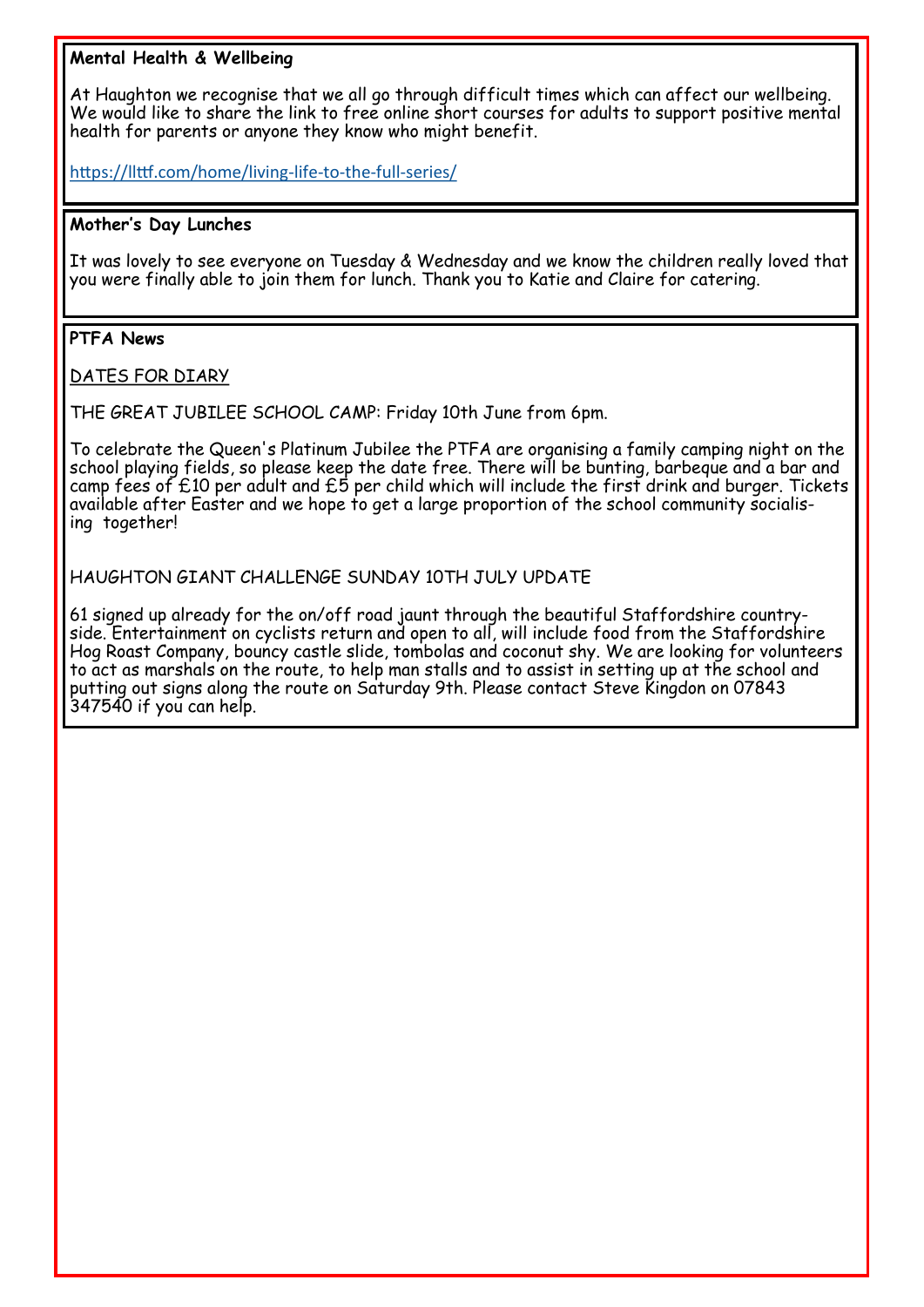# **Mental Health & Wellbeing**

At Haughton we recognise that we all go through difficult times which can affect our wellbeing. We would like to share the link to free online short courses for adults to support positive mental health for parents or anyone they know who might benefit.

[https://llttf.com/home/living](https://llttf.com/home/living-life-to-the-full-series/)-life-to-the-full-series/

### **Mother's Day Lunches**

It was lovely to see everyone on Tuesday & Wednesday and we know the children really loved that you were finally able to join them for lunch. Thank you to Katie and Claire for catering.

# **PTFA News**

DATES FOR DIARY

THE GREAT JUBILEE SCHOOL CAMP: Friday 10th June from 6pm.

To celebrate the Queen's Platinum Jubilee the PTFA are organising a family camping night on the school playing fields, so please keep the date free. There will be bunting, barbeque and a bar and camp fees of  $£10$  per adult and  $£5$  per child which will include the first drink and burger. Tickets available after Easter and we hope to get a large proportion of the school community socialising together!

#### HAUGHTON GIANT CHALLENGE SUNDAY 10TH JULY UPDATE

61 signed up already for the on/off road jaunt through the beautiful Staffordshire countryside. Entertainment on cyclists return and open to all, will include food from the Staffordshire Hog Roast Company, bouncy castle slide, tombolas and coconut shy. We are looking for volunteers to act as marshals on the route, to help man stalls and to assist in setting up at the school and putting out signs along the route on Saturday 9th. Please contact Steve Kingdon on 07843 347540 if you can help.